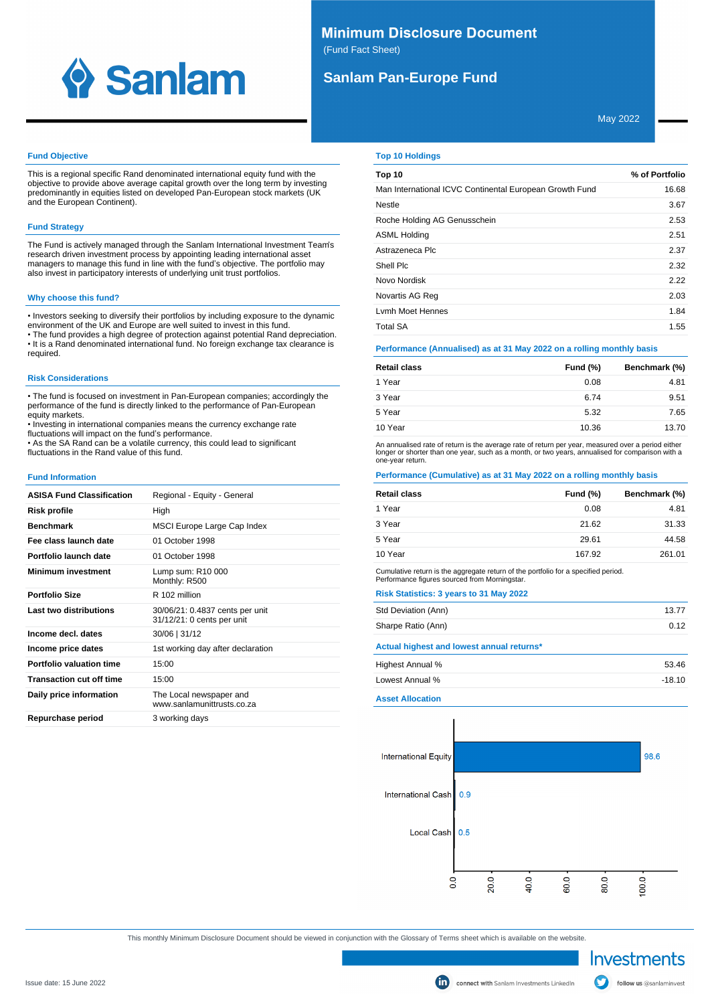

# **Minimum Disclosure Document** (Fund Fact Sheet)

# **Sanlam Pan-Europe Fund**

May 2022

### **Fund Objective**

This is a regional specific Rand denominated international equity fund with the objective to provide above average capital growth over the long term by investing predominantly in equities listed on developed Pan-European stock markets (UK and the European Continent).

### **Fund Strategy**

The Fund is actively managed through the Sanlam International Investment Team's research driven investment process by appointing leading international asset managers to manage this fund in line with the fund's objective. The portfolio may also invest in participatory interests of underlying unit trust portfolios.

#### **Why choose this fund?**

• Investors seeking to diversify their portfolios by including exposure to the dynamic environment of the UK and Europe are well suited to invest in this fund.

• The fund provides a high degree of protection against potential Rand depreciation. • It is a Rand denominated international fund. No foreign exchange tax clearance is required.

#### **Risk Considerations**

• The fund is focused on investment in Pan-European companies; accordingly the performance of the fund is directly linked to the performance of Pan-European equity markets.

• Investing in international companies means the currency exchange rate fluctuations will impact on the fund's performance.

• As the SA Rand can be a volatile currency, this could lead to significant fluctuations in the Rand value of this fund.

#### **Fund Information**

| <b>ASISA Fund Classification</b> | Regional - Equity - General                                   |
|----------------------------------|---------------------------------------------------------------|
| Risk profile                     | High                                                          |
| <b>Benchmark</b>                 | MSCI Europe Large Cap Index                                   |
| Fee class launch date            | 01 October 1998                                               |
| Portfolio launch date            | 01 October 1998                                               |
| <b>Minimum investment</b>        | Lump sum: R10 000<br>Monthly: R500                            |
| <b>Portfolio Size</b>            | R 102 million                                                 |
| Last two distributions           | 30/06/21: 0.4837 cents per unit<br>31/12/21: 0 cents per unit |
| Income decl. dates               | 30/06   31/12                                                 |
| Income price dates               | 1st working day after declaration                             |
| Portfolio valuation time         | 15:00                                                         |
| <b>Transaction cut off time</b>  | 15:00                                                         |
| Daily price information          | The Local newspaper and<br>www.sanlamunittrusts.co.za         |
| Repurchase period                | 3 working days                                                |

#### **Top 10 Holdings**

| Top 10                                                  | % of Portfolio |
|---------------------------------------------------------|----------------|
| Man International ICVC Continental European Growth Fund | 16.68          |
| Nestle                                                  | 3.67           |
| Roche Holding AG Genusschein                            | 2.53           |
| <b>ASML Holding</b>                                     | 2.51           |
| Astrazeneca Plc                                         | 2.37           |
| Shell Plc                                               | 2.32           |
| Novo Nordisk                                            | 2.22           |
| Novartis AG Reg                                         | 2.03           |
| Lymh Moet Hennes                                        | 1.84           |
| <b>Total SA</b>                                         | 1.55           |
|                                                         |                |

## **Performance (Annualised) as at 31 May 2022 on a rolling monthly basis**

| <b>Retail class</b> | <b>Fund (%)</b> | Benchmark (%) |
|---------------------|-----------------|---------------|
| 1 Year              | 0.08            | 4.81          |
| 3 Year              | 6.74            | 9.51          |
| 5 Year              | 5.32            | 7.65          |
| 10 Year             | 10.36           | 13.70         |

An annualised rate of return is the average rate of return per year, measured over a period either<br>longer or shorter than one year, such as a month, or two years, annualised for comparison with a one-year return.

# **Performance (Cumulative) as at 31 May 2022 on a rolling monthly basis**

| <b>Retail class</b> | Fund $(\%)$ | Benchmark (%) |
|---------------------|-------------|---------------|
| 1 Year              | 0.08        | 4.81          |
| 3 Year              | 21.62       | 31.33         |
| 5 Year              | 29.61       | 44.58         |
| 10 Year             | 167.92      | 261.01        |

Cumulative return is the aggregate return of the portfolio for a specified period. Performance figures sourced from Morningstar.

| <b>I</b> chomichoo hqurco oourood hominiquant  |          |
|------------------------------------------------|----------|
| <b>Risk Statistics: 3 years to 31 May 2022</b> |          |
| Std Deviation (Ann)                            | 13.77    |
| Sharpe Ratio (Ann)                             | 0.12     |
| Actual highest and lowest annual returns*      |          |
| Highest Annual %                               | 53.46    |
| Lowest Annual %                                | $-18.10$ |
|                                                |          |

**Asset Allocation**



This monthly Minimum Disclosure Document should be viewed in conjunction with the Glossary of Terms sheet which is available on the website.

Investments

follow us @sanlaminvest